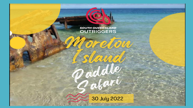

Paddle<br>Sabari

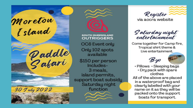

**SOUTH QUEENSLAND OUTRIGGERS OC6 Event only** Only 102 spots available \$150 per person Includes-3 meals, island permits, support boat subsidy Saturday night function



via aocra website

S aturday night<br>entertainment

Come together for Camp fire, Tropical shirt theme & Live entertainment.





• Pillows • Sleeping bags • Dry pack with spare clothes All of the above are placed in a waterproof bag and clearly labelled with your name on it as they will be packed onto the support boats for transport.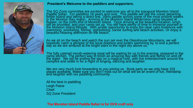

**President's Welcome to the paddlers and supporters**.

The SQ Zone committee are excited to welcome you all to the inaugural Moreton Island Paddle Safari. For paddlers 18 years and over. This paddle will see the crews departing Bribie Island and taking a direct line, 16km paddle across some of the most pristine waters in the Moreton Bay region. Arriving at the Moreton Island Wilderness camp situated at Bulwer, on the north end of Moreton Island. Once arriving at the beautiful location, lunch will be provided, and your camp set up. You will have plenty of time to immerse yourself in the Moreton Island lifestyle. With ample opportunity to enjoy the clear calm foreshore with swimming, snorkeling, fishing, sightseeing, canoe surfing and beach activities. Or enjoy a beautiful relaxing afternoon on the beach.

As we sit on the beach and watch the sun set over the Glasshouse Mountains, we will hopefully catch a glimpse of the local dolphins and turtles swimming by, to end a perfect day as we are amazed at the bright stars in the night sky above us.

The fully catered mouth-watering meal will be waiting for us in the evening, prepared in the camp kitchen. The perfect way to finish an amazing day with friends and family on and off the water. We will be ending the day on a magical note, with live entertainment around the campfire and settle in for a night of singing, dancing and laughter.

We are very much look forwarding to you joining us. Book early as we only have 102 places available. Make sure you don't miss out on what will be an event of fun, friendship and laughter with our paddling community.

All the best in paddling Leigh Paine **Chief** SQ Zone President

## **The Moreton Island Paddle Safari is for OC6 craft only**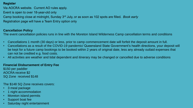#### **Register**

Via AOCRA website. Current AO rules apply. Event is open to over 18-year-old only Camp booking close at midnight, Sunday 3rd July, or as soon as 102 spots are filled. *Book early* Registration page will have a Team Entry option only

#### **Cancellation Policy**

The event cancellation policies runs in line with the Moreton Island Wilderness Camp cancellation terms and conditions

- Cancellations 1 month (30 days) or less, prior to camp commencement date will forfeit the deposit amount in full.
- Cancellations as a result of the COVID-19 pandemic/ Queensland State Government's health directions, your deposit will be kept for a future camp bookings to be booked within 2 years of original date, less any already outlaid expenses that can not be credited e.g. food costs.
- All activities are weather and tidal dependent and itinerary may be changed or cancelled due to adverse conditions

#### **Financial Disbursement of Entry Fee**

\$150 per paddler AOCRA receive \$2 SQ Zone received \$148

The \$148 SQ Zone receives covers:

- 3 meal package
- 1 night accommodation
- Moreton island permits
- Support boat fee
- Saturday night entertainment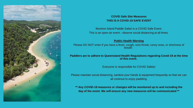

### **COVID Safe Site Measures THIS IS A COVID-19 SAFE EVENT**

Moreton Island Paddle Safari is a COVID Safe Event. This is an open-air event - observe social distancing at all times.

#### **Public Health Warning**

Please DO NOT enter if you have a fever, cough, sore throat, runny nose, or shortness of breath.

**Paddlers are to adhere to Queensland Health Regulations regarding Covid-19 at the time of this event.**

Everyone is responsible for COVID Safety!

Please maintain social distancing, sanitize your hands & equipment frequently so that we can all continue to enjoy paddling.

**\*\* Any COVID-19 measures or changes will be monitored up to and including the day of the event. We will ensure any new measures will be communicated \*\***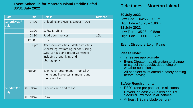## **Event Schedule for Moreton Island Paddle Safari 30/31 July 2022**

| <b>Date</b>                       | <b>Time</b>        | <b>Details</b>                                                                                                                                                        | <b>Distance</b> |
|-----------------------------------|--------------------|-----------------------------------------------------------------------------------------------------------------------------------------------------------------------|-----------------|
| Saturday 30 <sup>th</sup><br>July | 07:00              | Unloading and rigging canoes $-$ OC6                                                                                                                                  |                 |
|                                   | 08:00              | <b>Safety Briefing</b>                                                                                                                                                |                 |
|                                   | 08:30              | Paddle commences                                                                                                                                                      | 16km            |
|                                   | 12:00pm            | Lunch                                                                                                                                                                 |                 |
|                                   | 1:30 <sub>pm</sub> | Afternoon activities - Water activities -<br>Snorkelling, swimming, canoe surfing,<br>SUP. Various land-based workshops,<br>including drone flying and<br>photography |                 |
|                                   | 6:30pm             | Evening Entertainment – Tropical shirt<br>theme and live entertainment round<br>the camp fire                                                                         |                 |
| Sunday 31st<br>July               | 07:00am            | Pack up camp and canoes                                                                                                                                               |                 |
|                                   | 08:30am            | Leave                                                                                                                                                                 |                 |

# **Tide times – Moreton Island**

## **30 July 2022**

Low Tide - 04:55 - 0.59m High Tide – 10:23 – 1.80m **31 July 2022** Low Tide – 05:28 – 0.58m High Tide – 11:00 – 1.83m

## **Event Director:** Leigh Paine

## **Please Note:**

- Times are approximate
- Event Director has discretion to change or cancel the paddle, depending on weather conditions
- All paddlers must attend a safety briefing before leaving

# **Safety Requirements**

- PFD's (one per paddler) in all canoes
- Covers, at least 2 x Bailers and 1 x Secured Tow rope in all canoes
- At least 1 Spare blade per craft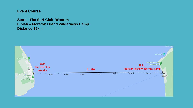# **Event Course**

**Start – The Surf Club, Woorim Finish – Moreton Island Wilderness Camp Distance 16km**

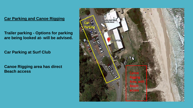# **Car Parking and Canoe Rigging**

**Trailer parking - Options for parking are being looked at- will be advised.**

**Car Parking at Surf Club**

**Canoe Rigging area has direct Beach access** 

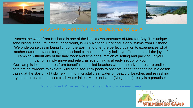







Across the water from Brisbane is one of the little known treasures of Moreton Bay. This unique sand island is the 3rd largest in the world, is 98% National Park and is only 35kms from Brisbane. We pride ourselves in being light on the Earth and offer the perfect location to experiences what mother nature provides for groups, school camps, and family holidays. Experience all the joys of camping without any of the hard work and time consumption of setting and packing up your camp...simply arrive and relax, as everything is already set up for you. Our camp is located metres from beautiful unspoiled beaches where the adventures are endless. There are shipwrecks to explore, wildlife to see, rock pools to observe, sand tobogganing in a desert, gazing at the starry night sky, swimming in crystal clear water on beautiful beaches and refreshing yourself in tea tree infused fresh water lakes. Moreton Island (Mulgumpin) really is a paradise!

[Moreton Island Wilderness Camp | Moreton Island Wilderness Camp](https://moretonislandwild.com.au/)